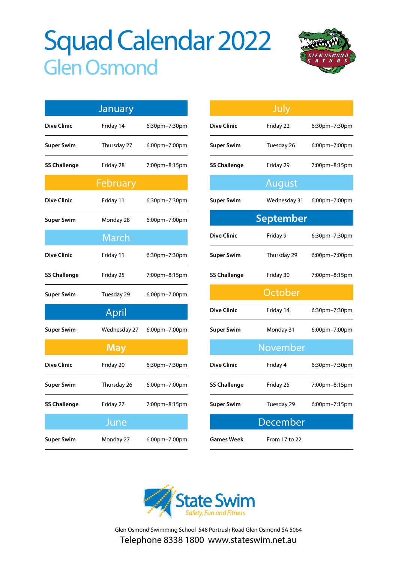# Squad Calendar 2022 Glen Osmond



|                     | January      |               |  |  |
|---------------------|--------------|---------------|--|--|
| <b>Dive Clinic</b>  | Friday 14    | 6:30pm–7:30pm |  |  |
| <b>Super Swim</b>   | Thursday 27  | 6:00pm-7:00pm |  |  |
| <b>SS Challenge</b> | Friday 28    | 7:00pm-8:15pm |  |  |
| February            |              |               |  |  |
| <b>Dive Clinic</b>  | Friday 11    | 6:30pm-7:30pm |  |  |
| <b>Super Swim</b>   | Monday 28    | 6:00pm-7:00pm |  |  |
|                     | <b>March</b> |               |  |  |
| <b>Dive Clinic</b>  | Friday 11    | 6:30pm-7:30pm |  |  |
| <b>SS Challenge</b> | Friday 25    | 7:00pm–8:15pm |  |  |
| <b>Super Swim</b>   | Tuesday 29   | 6:00pm-7:00pm |  |  |
|                     | April        |               |  |  |
| <b>Super Swim</b>   | Wednesday 27 | 6:00pm-7:00pm |  |  |
| <b>May</b>          |              |               |  |  |
| <b>Dive Clinic</b>  | Friday 20    | 6:30pm-7:30pm |  |  |
| Super Swim          | Thursday 26  | 6:00pm-7:00pm |  |  |
| <b>SS Challenge</b> | Friday 27    | 7:00pm-8:15pm |  |  |
|                     | June         |               |  |  |
| <b>Super Swim</b>   | Monday 27    | 6.00pm-7.00pm |  |  |

|                     | July             |               |  |  |
|---------------------|------------------|---------------|--|--|
| <b>Dive Clinic</b>  | Friday 22        | 6:30pm-7:30pm |  |  |
| <b>Super Swim</b>   | Tuesday 26       | 6:00pm-7:00pm |  |  |
| <b>SS Challenge</b> | Friday 29        | 7:00pm-8:15pm |  |  |
|                     | August           |               |  |  |
| <b>Super Swim</b>   | Wednesday 31     | 6:00pm-7:00pm |  |  |
|                     | <b>September</b> |               |  |  |
| <b>Dive Clinic</b>  | Friday 9         | 6:30pm-7:30pm |  |  |
| <b>Super Swim</b>   | Thursday 29      | 6:00pm-7:00pm |  |  |
| <b>SS Challenge</b> | Friday 30        | 7:00pm-8:15pm |  |  |
|                     | October          |               |  |  |
| <b>Dive Clinic</b>  | Friday 14        | 6:30pm-7:30pm |  |  |
| <b>Super Swim</b>   | Monday 31        | 6:00pm-7:00pm |  |  |
| November            |                  |               |  |  |
| <b>Dive Clinic</b>  | Friday 4         | 6:30pm-7:30pm |  |  |
| <b>SS Challenge</b> | Friday 25        | 7:00pm-8:15pm |  |  |
| <b>Super Swim</b>   | Tuesday 29       | 6:00pm-7:15pm |  |  |
|                     | <b>December</b>  |               |  |  |
| Games Week          | From 17 to 22    |               |  |  |



Glen Osmond Swimming School 548 Portrush Road Glen Osmond SA 5064 Telephone 8338 1800 www.stateswim.net.au